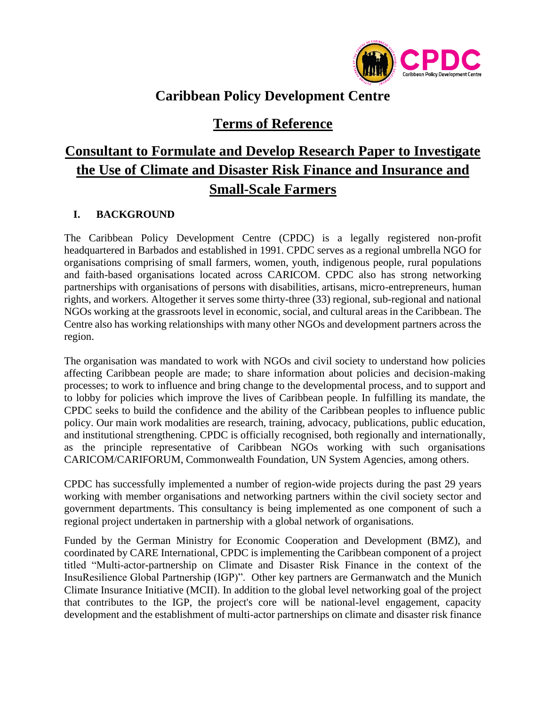

## **Caribbean Policy Development Centre**

### **Terms of Reference**

# **Consultant to Formulate and Develop Research Paper to Investigate the Use of Climate and Disaster Risk Finance and Insurance and Small-Scale Farmers**

#### **I. BACKGROUND**

The Caribbean Policy Development Centre (CPDC) is a legally registered non-profit headquartered in Barbados and established in 1991. CPDC serves as a regional umbrella NGO for organisations comprising of small farmers, women, youth, indigenous people, rural populations and faith-based organisations located across CARICOM. CPDC also has strong networking partnerships with organisations of persons with disabilities, artisans, micro-entrepreneurs, human rights, and workers. Altogether it serves some thirty-three (33) regional, sub-regional and national NGOs working at the grassroots level in economic, social, and cultural areas in the Caribbean. The Centre also has working relationships with many other NGOs and development partners across the region.

The organisation was mandated to work with NGOs and civil society to understand how policies affecting Caribbean people are made; to share information about policies and decision-making processes; to work to influence and bring change to the developmental process, and to support and to lobby for policies which improve the lives of Caribbean people. In fulfilling its mandate, the CPDC seeks to build the confidence and the ability of the Caribbean peoples to influence public policy. Our main work modalities are research, training, advocacy, publications, public education, and institutional strengthening. CPDC is officially recognised, both regionally and internationally, as the principle representative of Caribbean NGOs working with such organisations CARICOM/CARIFORUM, Commonwealth Foundation, UN System Agencies, among others.

CPDC has successfully implemented a number of region-wide projects during the past 29 years working with member organisations and networking partners within the civil society sector and government departments. This consultancy is being implemented as one component of such a regional project undertaken in partnership with a global network of organisations.

Funded by the German Ministry for Economic Cooperation and Development (BMZ), and coordinated by CARE International, CPDC is implementing the Caribbean component of a project titled "Multi-actor-partnership on Climate and Disaster Risk Finance in the context of the InsuResilience Global Partnership (IGP)". Other key partners are Germanwatch and the Munich Climate Insurance Initiative (MCII). In addition to the global level networking goal of the project that contributes to the IGP, the project's core will be national-level engagement, capacity development and the establishment of multi-actor partnerships on climate and disaster risk finance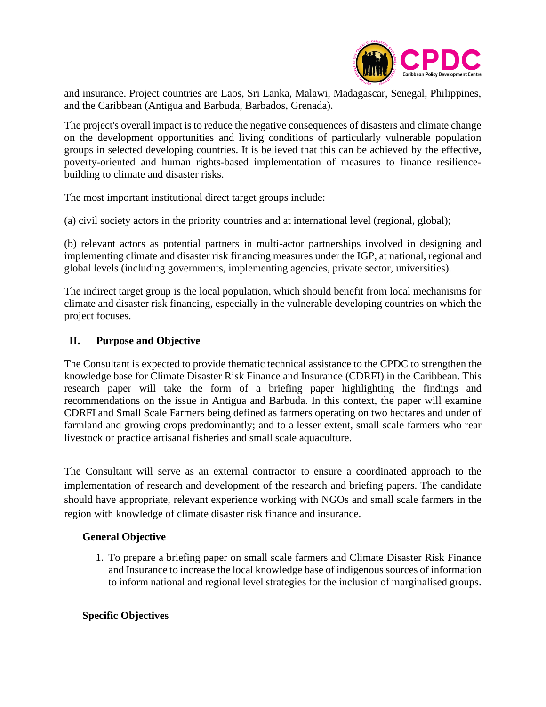

and insurance. Project countries are Laos, Sri Lanka, Malawi, Madagascar, Senegal, Philippines, and the Caribbean (Antigua and Barbuda, Barbados, Grenada).

The project's overall impact is to reduce the negative consequences of disasters and climate change on the development opportunities and living conditions of particularly vulnerable population groups in selected developing countries. It is believed that this can be achieved by the effective, poverty-oriented and human rights-based implementation of measures to finance resiliencebuilding to climate and disaster risks.

The most important institutional direct target groups include:

(a) civil society actors in the priority countries and at international level (regional, global);

(b) relevant actors as potential partners in multi-actor partnerships involved in designing and implementing climate and disaster risk financing measures under the IGP, at national, regional and global levels (including governments, implementing agencies, private sector, universities).

The indirect target group is the local population, which should benefit from local mechanisms for climate and disaster risk financing, especially in the vulnerable developing countries on which the project focuses.

#### **II. Purpose and Objective**

The Consultant is expected to provide thematic technical assistance to the CPDC to strengthen the knowledge base for Climate Disaster Risk Finance and Insurance (CDRFI) in the Caribbean. This research paper will take the form of a briefing paper highlighting the findings and recommendations on the issue in Antigua and Barbuda. In this context, the paper will examine CDRFI and Small Scale Farmers being defined as farmers operating on two hectares and under of farmland and growing crops predominantly; and to a lesser extent, small scale farmers who rear livestock or practice artisanal fisheries and small scale aquaculture.

The Consultant will serve as an external contractor to ensure a coordinated approach to the implementation of research and development of the research and briefing papers. The candidate should have appropriate, relevant experience working with NGOs and small scale farmers in the region with knowledge of climate disaster risk finance and insurance.

#### **General Objective**

1. To prepare a briefing paper on small scale farmers and Climate Disaster Risk Finance and Insurance to increase the local knowledge base of indigenous sources of information to inform national and regional level strategies for the inclusion of marginalised groups.

#### **Specific Objectives**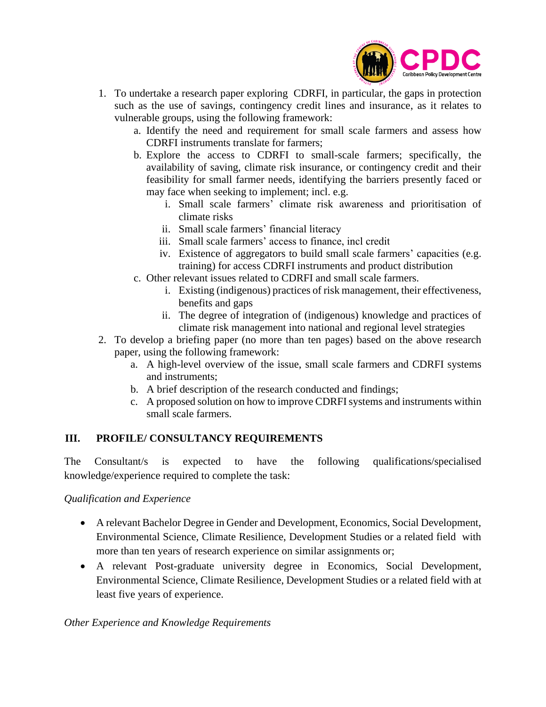

- 1. To undertake a research paper exploring CDRFI, in particular, the gaps in protection such as the use of savings, contingency credit lines and insurance, as it relates to vulnerable groups, using the following framework:
	- a. Identify the need and requirement for small scale farmers and assess how CDRFI instruments translate for farmers;
	- b. Explore the access to CDRFI to small-scale farmers; specifically, the availability of saving, climate risk insurance, or contingency credit and their feasibility for small farmer needs, identifying the barriers presently faced or may face when seeking to implement; incl. e.g.
		- i. Small scale farmers' climate risk awareness and prioritisation of climate risks
		- ii. Small scale farmers' financial literacy
		- iii. Small scale farmers' access to finance, incl credit
		- iv. Existence of aggregators to build small scale farmers' capacities (e.g. training) for access CDRFI instruments and product distribution
	- c. Other relevant issues related to CDRFI and small scale farmers.
		- i. Existing (indigenous) practices of risk management, their effectiveness, benefits and gaps
		- ii. The degree of integration of (indigenous) knowledge and practices of climate risk management into national and regional level strategies
- 2. To develop a briefing paper (no more than ten pages) based on the above research paper, using the following framework:
	- a. A high-level overview of the issue, small scale farmers and CDRFI systems and instruments;
	- b. A brief description of the research conducted and findings;
	- c. A proposed solution on how to improve CDRFI systems and instruments within small scale farmers.

#### **III. PROFILE/ CONSULTANCY REQUIREMENTS**

The Consultant/s is expected to have the following qualifications/specialised knowledge/experience required to complete the task:

#### *Qualification and Experience*

- A relevant Bachelor Degree in Gender and Development, Economics, Social Development, Environmental Science, Climate Resilience, Development Studies or a related field with more than ten years of research experience on similar assignments or;
- A relevant Post-graduate university degree in Economics, Social Development, Environmental Science, Climate Resilience, Development Studies or a related field with at least five years of experience.

#### *Other Experience and Knowledge Requirements*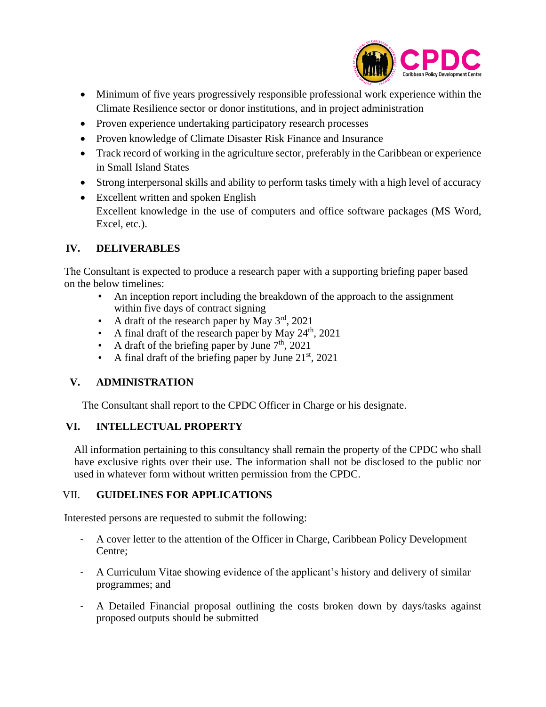

- Minimum of five years progressively responsible professional work experience within the Climate Resilience sector or donor institutions, and in project administration
- Proven experience undertaking participatory research processes
- Proven knowledge of Climate Disaster Risk Finance and Insurance
- Track record of working in the agriculture sector, preferably in the Caribbean or experience in Small Island States
- Strong interpersonal skills and ability to perform tasks timely with a high level of accuracy
- Excellent written and spoken English Excellent knowledge in the use of computers and office software packages (MS Word, Excel, etc.).

#### **IV. DELIVERABLES**

The Consultant is expected to produce a research paper with a supporting briefing paper based on the below timelines:

- An inception report including the breakdown of the approach to the assignment within five days of contract signing
- A draft of the research paper by May  $3<sup>rd</sup>$ , 2021
- A final draft of the research paper by May  $24<sup>th</sup>$ , 2021
- A draft of the briefing paper by June  $7<sup>th</sup>$ , 2021
- A final draft of the briefing paper by June  $21<sup>st</sup>$ , 2021

#### **V. ADMINISTRATION**

The Consultant shall report to the CPDC Officer in Charge or his designate.

#### **VI. INTELLECTUAL PROPERTY**

All information pertaining to this consultancy shall remain the property of the CPDC who shall have exclusive rights over their use. The information shall not be disclosed to the public nor used in whatever form without written permission from the CPDC.

#### VII. **GUIDELINES FOR APPLICATIONS**

Interested persons are requested to submit the following:

- A cover letter to the attention of the Officer in Charge, Caribbean Policy Development Centre;
- A Curriculum Vitae showing evidence of the applicant's history and delivery of similar programmes; and
- A Detailed Financial proposal outlining the costs broken down by days/tasks against proposed outputs should be submitted